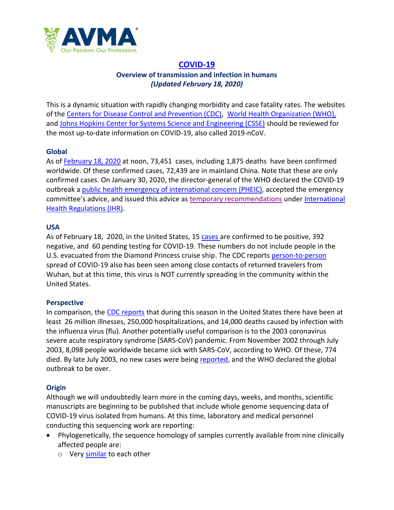

# **[COVID-19](https://www.who.int/emergencies/diseases/novel-coronavirus-2019) Overview of transmission and infection in humans** *(Updated February 18, 2020)*

This is a dynamic situation with rapidly changing morbidity and case fatality rates. The websites of the [Centers for Disease Control and Prevention \(CDC\),](https://www.cdc.gov/coronavirus/2019-ncov/index.html) [World Health Organization \(WHO\),](https://www.who.int/emergencies/diseases/novel-coronavirus-2019) and Johns [Hopkins Center for Systems Science and Engineering \(CSSE\)](https://systems.jhu.edu/research/public-health/ncov/) should be reviewed for the most up-to-date information on COVID-19, also called 2019-nCoV.

## **Global**

As of [February 18, 2020](https://gisanddata.maps.arcgis.com/apps/opsdashboard/index.html#/bda7594740fd40299423467b48e9ecf6) at noon, 73,451 cases, including 1,875 deaths have been confirmed worldwide. Of these confirmed cases, 72,439 are in mainland China. Note that these are only confirmed cases. On January 30, 2020, the director-general of the WHO declared the COVID-19 outbreak a [public health emergency of international concern \(PHEIC\),](https://www.who.int/ihr/procedures/pheic/en/) accepted the emergency committee's advice, and issued this advice as [temporary recommendations](https://www.who.int/news-room/detail/30-01-2020-statement-on-the-second-meeting-of-the-international-health-regulations-(2005)-emergency-committee-regarding-the-outbreak-of-novel-coronavirus-(2019-ncov)) under International [Health Regulations \(IHR\).](https://www.who.int/ihr/about/en/)

## **USA**

As of February 18, 2020, in the United States, 15 [cases](https://www.cdc.gov/coronavirus/2019-ncov/cases-in-us.html) are confirmed to be positive, 392 negative, and 60 pending testing for COVID-19. These numbers do not include people in the U.S. evacuated from the Diamond Princess cruise ship. The CDC reports [person-to-person](https://www.cdc.gov/coronavirus/2019-ncov/summary.html) spread of COVID-19 also has been seen among close contacts of returned travelers from Wuhan, but at this time, this virus is NOT currently spreading in the community within the United States.

## **Perspective**

In comparison, the [CDC reports](https://www.cdc.gov/flu/weekly/index.htm) that during this season in the United States there have been at least 26 million illnesses, 250,000 hospitalizations, and 14,000 deaths caused by infection with the influenza virus (flu). Another potentially useful comparison is to the 2003 coronavirus severe acute respiratory syndrome (SARS-CoV) pandemic. From November 2002 through July 2003, 8,098 people worldwide became sick with SARS-CoV, according to WHO. Of these, 774 died. By late July 2003, no new cases were being [reported,](https://www.cdc.gov/sars/about/faq.html) and the WHO declared the global outbreak to be over.

## **Origin**

Although we will undoubtedly learn more in the coming days, weeks, and months, scientific manuscripts are beginning to be published that include whole genome sequencing data of COVID-19 virus isolated from humans. At this time, laboratory and medical personnel conducting this sequencing work are reporting:

- Phylogenetically, the sequence homology of samples currently available from nine clinically affected people are:
	- o Very [similar](https://www.biorxiv.org/content/10.1101/2020.01.24.915157v1) to each other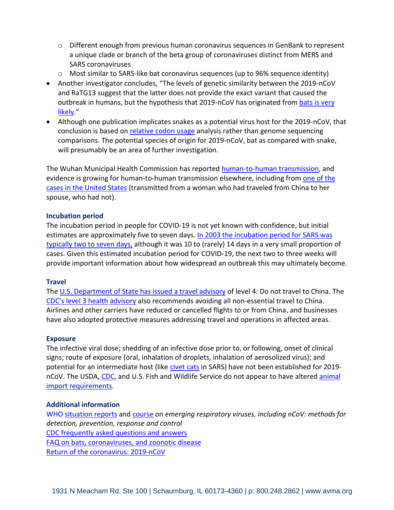- $\circ$  Different enough from previous human coronavirus sequences in GenBank to represent a unique clade or branch of the beta group of coronaviruses distinct from MERS and SARS coronaviruses
- o Most similar to SARS-like bat coronavirus sequences (up to 96% sequence identity)
- Another investigator concludes, "The levels of genetic similarity between the 2019-nCoV and RaTG13 suggest that the latter does not provide the exact variant that caused the outbreak in humans, but the hypothesis that 2019-nCoV has originated from bats is very [likely.](https://www.biorxiv.org/content/10.1101/2020.01.26.920249v1)"
- Although one publication implicates snakes as a potential virus host for the 2019-nCoV, that conclusion is based on [relative codon usage](https://onlinelibrary.wiley.com/doi/abs/10.1002/jmv.25682) analysis rather than genome sequencing comparisons. The potential species of origin for 2019-nCoV, bat as compared with snake, will presumably be an area of further investigation.

The Wuhan Municipal Health Commission has reported [human-to-human transmission,](https://abcnews.go.com/Health/wireStory/china-counts-sharp-rise-coronavirus-cases-beijing-68393425) and evidence is growing for human-to-human transmission elsewhere, including from one of the [cases in the United States](https://www.usnews.com/news/healthiest-communities/articles/2020-01-30/first-human-to-human-coronavirus-transmission-seen-in-us) (transmitted from a woman who had traveled from China to her spouse, who had not).

## **Incubation period**

The incubation period in people for COVID-19 is not yet known with confidence, but initial estimates are approximately five to seven days. [In 2003 the incubation period for SARS was](https://www.cdc.gov/sars/about/faq.html)  [typically two](https://www.cdc.gov/sars/about/faq.html) to seven days, although it was 10 to (rarely) 14 days in a very small proportion of cases. Given this estimated incubation period for COVID-19, the next two to three weeks will provide important information about how widespread an outbreak this may ultimately become.

## **Travel**

The [U.S. Department of State has issued a travel advisory](https://travel.state.gov/content/travel/en/international-travel/International-Travel-Country-Information-Pages/China.html) of level 4: Do not travel to China. The [CDC's level 3 health advisory](https://wwwnc.cdc.gov/travel/destinations/traveler/none/china) also recommends avoiding all non-essential travel to China. Airlines and other carriers have reduced or cancelled flights to or from China, and businesses have also adopted protective measures addressing travel and operations in affected areas.

## **Exposure**

The infective viral dose; shedding of an infective dose prior to, or following, onset of clinical signs; route of exposure (oral, inhalation of droplets, inhalation of aerosolized virus); and potential for an intermediate host (like [civet cats](https://link.springer.com/chapter/10.1007%2F978-3-540-70962-6_13) in SARS) have not been established for 2019nCoV. The USDA[, CDC,](https://www.cdc.gov/sars/media/civet-ban.html) and U.S. Fish and Wildlife Service do not appear to have altered [animal](https://www.aphis.usda.gov/aphis/ourfocus/animalhealth/animal-and-animal-product-import-information/live-animal-imports/import-live-animals)  [import requirements.](https://www.aphis.usda.gov/aphis/ourfocus/animalhealth/animal-and-animal-product-import-information/live-animal-imports/import-live-animals)

## **Additional information**

WHO [situation reports](https://www.who.int/emergencies/diseases/novel-coronavirus-2019/situation-reports/) and [course](https://openwho.org/courses/introduction-to-ncov) on *emerging respiratory viruses, including nCoV: methods for detection, prevention, response and control*  [CDC frequently asked questions and answers](https://www.cdc.gov/coronavirus/2019-ncov/faq.html) [FAQ on bats, coronaviruses, and zoonotic disease](http://www.batcon.org/resources/media-education/news-room/gen-news/80-latest-news/1227-bci-s-faq-on-bats-coronaviruses-and-zoonotic-disease) [Return of the coronavirus: 2019-nCoV](https://www.mdpi.com/1999-4915/12/2/135/htm)